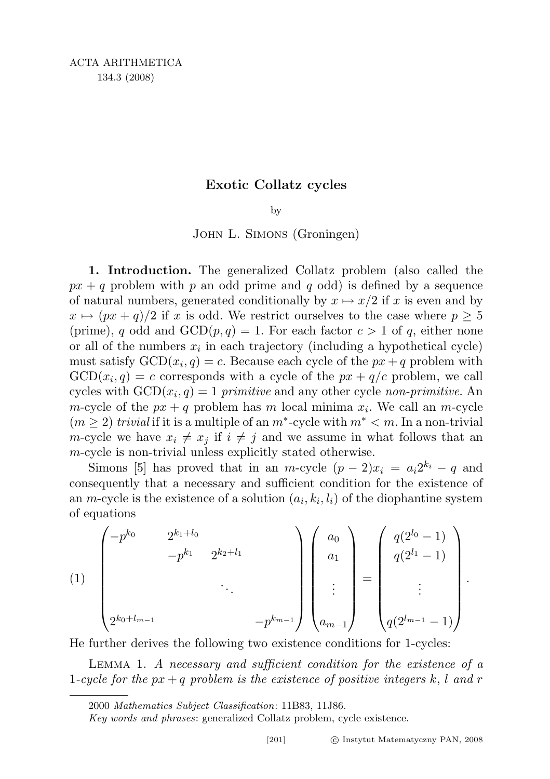## Exotic Collatz cycles

by

## John L. Simons (Groningen)

1. Introduction. The generalized Collatz problem (also called the  $px + q$  problem with p an odd prime and q odd) is defined by a sequence of natural numbers, generated conditionally by  $x \mapsto x/2$  if x is even and by  $x \mapsto (px + q)/2$  if x is odd. We restrict ourselves to the case where  $p \geq 5$ (prime), q odd and  $GCD(p,q) = 1$ . For each factor  $c > 1$  of q, either none or all of the numbers  $x_i$  in each trajectory (including a hypothetical cycle) must satisfy  $GCD(x_i, q) = c$ . Because each cycle of the  $px + q$  problem with  $GCD(x_i, q) = c$  corresponds with a cycle of the  $px + q/c$  problem, we call cycles with  $GCD(x_i, q) = 1$  primitive and any other cycle non-primitive. An m-cycle of the  $px + q$  problem has m local minima  $x_i$ . We call an m-cycle  $(m \geq 2)$  trivial if it is a multiple of an  $m^*$ -cycle with  $m^* < m$ . In a non-trivial *m*-cycle we have  $x_i \neq x_j$  if  $i \neq j$  and we assume in what follows that an m-cycle is non-trivial unless explicitly stated otherwise.

Simons [5] has proved that in an m-cycle  $(p-2)x_i = a_i 2^{k_i} - q$  and consequently that a necessary and sufficient condition for the existence of an *m*-cycle is the existence of a solution  $(a_i, k_i, l_i)$  of the diophantine system of equations

(1)
$$
\begin{pmatrix} -p^{k_0} & 2^{k_1+l_0} \\ & -p^{k_1} & 2^{k_2+l_1} \\ & & \ddots & \\ 2^{k_0+l_{m-1}} & & & -p^{k_{m-1}} \end{pmatrix} \begin{pmatrix} a_0 \\ a_1 \\ \vdots \\ a_{m-1} \end{pmatrix} = \begin{pmatrix} q(2^{l_0}-1) \\ q(2^{l_1}-1) \\ \vdots \\ q(2^{l_{m-1}}-1) \end{pmatrix}.
$$

He further derives the following two existence conditions for 1-cycles:

Lemma 1. A necessary and sufficient condition for the existence of a 1-cycle for the  $px + q$  problem is the existence of positive integers k, l and r

Key words and phrases: generalized Collatz problem, cycle existence.

<sup>2000</sup> Mathematics Subject Classification: 11B83, 11J86.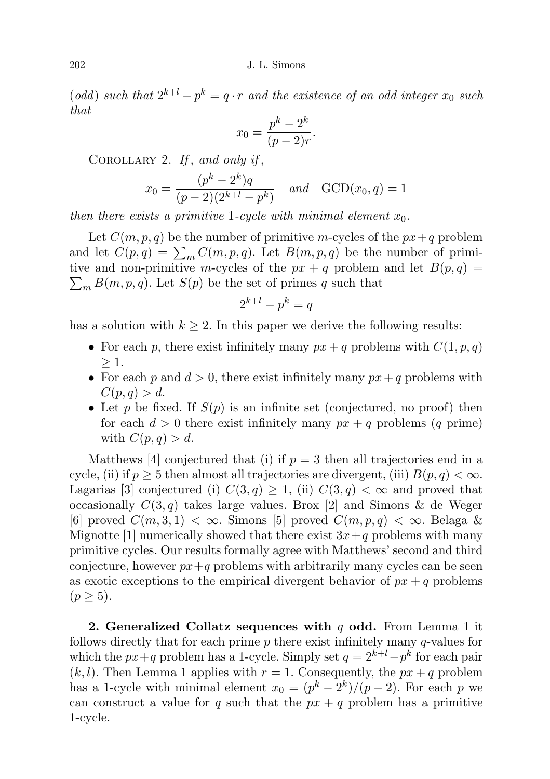(odd) such that  $2^{k+l} - p^k = q \cdot r$  and the existence of an odd integer  $x_0$  such that

$$
x_0 = \frac{p^k - 2^k}{(p-2)r}.
$$

COROLLARY 2. If, and only if,

$$
x_0 = \frac{(p^k - 2^k)q}{(p-2)(2^{k+l} - p^k)} \quad \text{and} \quad \text{GCD}(x_0, q) = 1
$$

then there exists a primitive 1-cycle with minimal element  $x_0$ .

Let  $C(m, p, q)$  be the number of primitive m-cycles of the  $px+q$  problem and let  $C(p,q) = \sum_{m} C(m,p,q)$ . Let  $B(m,p,q)$  be the number of primitive and non-primitive m-cycles of the  $px + q$  problem and let  $B(p, q) =$  $\sum_{m} B(m, p, q)$ . Let  $S(p)$  be the set of primes q such that

$$
2^{k+l} - p^k = q
$$

has a solution with  $k \geq 2$ . In this paper we derive the following results:

- For each p, there exist infinitely many  $px + q$  problems with  $C(1, p, q)$  $>1$ .
- For each p and  $d > 0$ , there exist infinitely many  $px + q$  problems with  $C(p,q) > d.$
- Let p be fixed. If  $S(p)$  is an infinite set (conjectured, no proof) then for each  $d > 0$  there exist infinitely many  $px + q$  problems (q prime) with  $C(p,q) > d$ .

Matthews [4] conjectured that (i) if  $p = 3$  then all trajectories end in a cycle, (ii) if  $p \geq 5$  then almost all trajectories are divergent, (iii)  $B(p,q) < \infty$ . Lagarias [3] conjectured (i)  $C(3, q) \geq 1$ , (ii)  $C(3, q) < \infty$  and proved that occasionally  $C(3, q)$  takes large values. Brox [2] and Simons & de Weger [6] proved  $C(m,3,1) < \infty$ . Simons [5] proved  $C(m,p,q) < \infty$ . Belaga & Mignotte [1] numerically showed that there exist  $3x+q$  problems with many primitive cycles. Our results formally agree with Matthews' second and third conjecture, however  $px+q$  problems with arbitrarily many cycles can be seen as exotic exceptions to the empirical divergent behavior of  $px + q$  problems  $(p \geq 5)$ .

2. Generalized Collatz sequences with q odd. From Lemma 1 it follows directly that for each prime  $p$  there exist infinitely many  $q$ -values for which the  $px+q$  problem has a 1-cycle. Simply set  $q = 2^{k+l}-p^k$  for each pair  $(k, l)$ . Then Lemma 1 applies with  $r = 1$ . Consequently, the  $px + q$  problem has a 1-cycle with minimal element  $x_0 = (p^k - 2^k)/(p-2)$ . For each p we can construct a value for q such that the  $px + q$  problem has a primitive 1-cycle.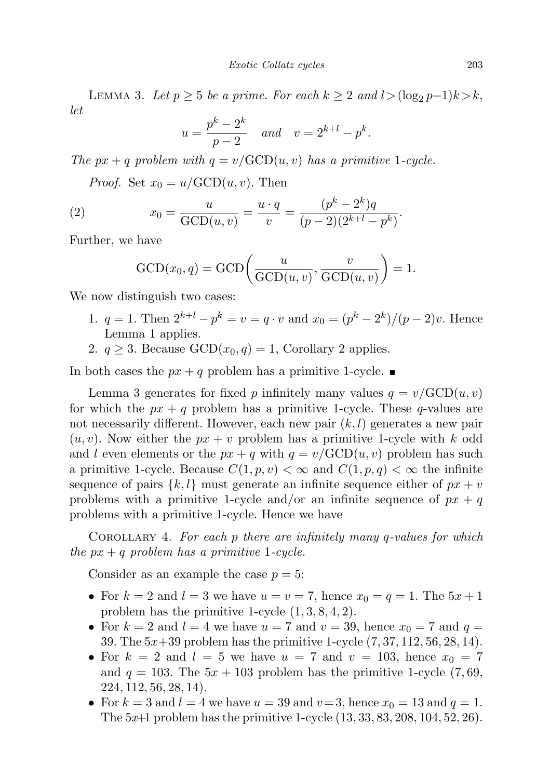LEMMA 3. Let  $p \geq 5$  be a prime. For each  $k \geq 2$  and  $l > (\log_2 p - 1)k > k$ , let

$$
u = \frac{p^k - 2^k}{p - 2}
$$
 and  $v = 2^{k+l} - p^k$ .

The px + q problem with  $q = v/\text{GCD}(u, v)$  has a primitive 1-cycle.

*Proof.* Set  $x_0 = u/\text{GCD}(u, v)$ . Then

(2) 
$$
x_0 = \frac{u}{\text{GCD}(u, v)} = \frac{u \cdot q}{v} = \frac{(p^k - 2^k)q}{(p - 2)(2^{k+l} - p^k)}.
$$

Further, we have

$$
\text{GCD}(x_0, q) = \text{GCD}\left(\frac{u}{\text{GCD}(u, v)}, \frac{v}{\text{GCD}(u, v)}\right) = 1.
$$

We now distinguish two cases:

- 1.  $q = 1$ . Then  $2^{k+l} p^k = v = q \cdot v$  and  $x_0 = (p^k 2^k)/(p 2)v$ . Hence Lemma 1 applies.
- 2.  $q \geq 3$ . Because  $GCD(x_0, q) = 1$ , Corollary 2 applies.

In both cases the  $px + q$  problem has a primitive 1-cycle.

Lemma 3 generates for fixed p infinitely many values  $q = v/\text{GCD}(u, v)$ for which the  $px + q$  problem has a primitive 1-cycle. These q-values are not necessarily different. However, each new pair  $(k, l)$  generates a new pair  $(u, v)$ . Now either the  $px + v$  problem has a primitive 1-cycle with k odd and l even elements or the  $px + q$  with  $q = v/\text{GCD}(u, v)$  problem has such a primitive 1-cycle. Because  $C(1, p, v) < \infty$  and  $C(1, p, q) < \infty$  the infinite sequence of pairs  $\{k, l\}$  must generate an infinite sequence either of  $px + v$ problems with a primitive 1-cycle and/or an infinite sequence of  $px + q$ problems with a primitive 1-cycle. Hence we have

COROLLARY 4. For each  $p$  there are infinitely many  $q$ -values for which the  $px + q$  problem has a primitive 1-cycle.

Consider as an example the case  $p = 5$ :

- For  $k = 2$  and  $l = 3$  we have  $u = v = 7$ , hence  $x_0 = q = 1$ . The  $5x + 1$ problem has the primitive 1-cycle  $(1, 3, 8, 4, 2)$ .
- For  $k = 2$  and  $l = 4$  we have  $u = 7$  and  $v = 39$ , hence  $x_0 = 7$  and  $q =$ 39. The  $5x+39$  problem has the primitive 1-cycle  $(7, 37, 112, 56, 28, 14)$ .
- For  $k = 2$  and  $l = 5$  we have  $u = 7$  and  $v = 103$ , hence  $x_0 = 7$ and  $q = 103$ . The  $5x + 103$  problem has the primitive 1-cycle  $(7, 69, 69)$ 224, 112, 56, 28, 14).
- For  $k = 3$  and  $l = 4$  we have  $u = 39$  and  $v = 3$ , hence  $x_0 = 13$  and  $q = 1$ . The  $5x+1$  problem has the primitive 1-cycle  $(13, 33, 83, 208, 104, 52, 26)$ .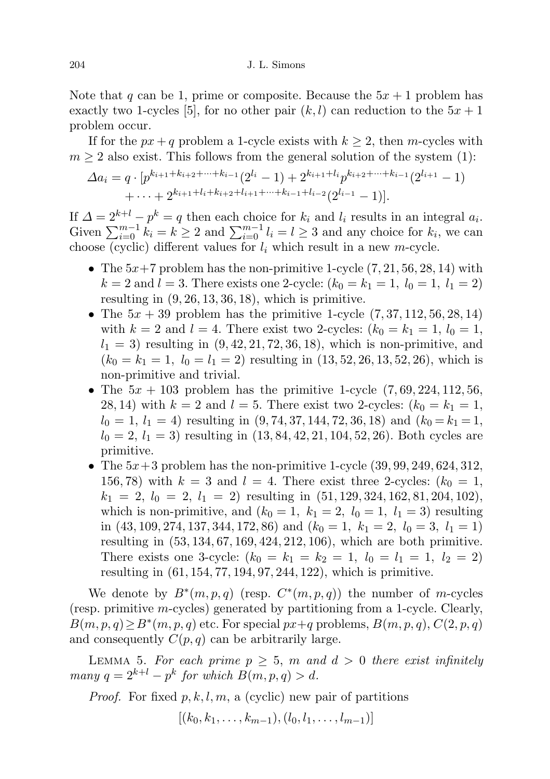Note that q can be 1, prime or composite. Because the  $5x + 1$  problem has exactly two 1-cycles [5], for no other pair  $(k, l)$  can reduction to the  $5x + 1$ problem occur.

If for the  $px + q$  problem a 1-cycle exists with  $k \geq 2$ , then m-cycles with  $m \geq 2$  also exist. This follows from the general solution of the system (1):

$$
\Delta a_i = q \cdot [p^{k_{i+1}+k_{i+2}+\cdots+k_{i-1}}(2^{l_i}-1)+2^{k_{i+1}+l_i}p^{k_{i+2}+\cdots+k_{i-1}}(2^{l_{i+1}}-1) + \cdots + 2^{k_{i+1}+l_i+k_{i+2}+l_{i+1}+\cdots+k_{i-1}+l_{i-2}}(2^{l_{i-1}}-1)].
$$

If  $\Delta = 2^{k+l} - p^k = q$  then each choice for  $k_i$  and  $l_i$  results in an integral  $a_i$ . Given  $\sum_{i=0}^{m-1} k_i = k \ge 2$  and  $\sum_{i=0}^{m-1} l_i = l \ge 3$  and any choice for  $k_i$ , we can choose (cyclic) different values for  $l_i$  which result in a new m-cycle.

- The  $5x+7$  problem has the non-primitive 1-cycle  $(7, 21, 56, 28, 14)$  with  $k = 2$  and  $l = 3$ . There exists one 2-cycle:  $(k_0 = k_1 = 1, l_0 = 1, l_1 = 2)$ resulting in  $(9, 26, 13, 36, 18)$ , which is primitive.
- The  $5x + 39$  problem has the primitive 1-cycle  $(7, 37, 112, 56, 28, 14)$ with  $k = 2$  and  $l = 4$ . There exist two 2-cycles:  $(k_0 = k_1 = 1, l_0 = 1,$  $l_1 = 3$ ) resulting in  $(9, 42, 21, 72, 36, 18)$ , which is non-primitive, and  $(k_0 = k_1 = 1, l_0 = l_1 = 2)$  resulting in  $(13, 52, 26, 13, 52, 26)$ , which is non-primitive and trivial.
- The  $5x + 103$  problem has the primitive 1-cycle  $(7, 69, 224, 112, 56,$ 28, 14) with  $k = 2$  and  $l = 5$ . There exist two 2-cycles:  $(k_0 = k_1 = 1,$  $l_0 = 1, l_1 = 4$ ) resulting in  $(9, 74, 37, 144, 72, 36, 18)$  and  $(k_0 = k_1 = 1,$  $l_0 = 2, l_1 = 3$  resulting in  $(13, 84, 42, 21, 104, 52, 26)$ . Both cycles are primitive.
- The  $5x+3$  problem has the non-primitive 1-cycle  $(39, 99, 249, 624, 312,$ 156, 78) with  $k = 3$  and  $l = 4$ . There exist three 2-cycles:  $(k_0 = 1,$  $k_1 = 2, l_0 = 2, l_1 = 2$  resulting in  $(51, 129, 324, 162, 81, 204, 102)$ , which is non-primitive, and  $(k_0 = 1, k_1 = 2, l_0 = 1, l_1 = 3)$  resulting in  $(43, 109, 274, 137, 344, 172, 86)$  and  $(k_0 = 1, k_1 = 2, l_0 = 3, l_1 = 1)$ resulting in (53, 134, 67, 169, 424, 212, 106), which are both primitive. There exists one 3-cycle:  $(k_0 = k_1 = k_2 = 1, l_0 = l_1 = 1, l_2 = 2)$ resulting in (61, 154, 77, 194, 97, 244, 122), which is primitive.

We denote by  $B^*(m, p, q)$  (resp.  $C^*(m, p, q)$ ) the number of m-cycles (resp. primitive m-cycles) generated by partitioning from a 1-cycle. Clearly,  $B(m, p, q) \ge B^*(m, p, q)$  etc. For special  $px+q$  problems,  $B(m, p, q)$ ,  $C(2, p, q)$ and consequently  $C(p, q)$  can be arbitrarily large.

LEMMA 5. For each prime  $p \geq 5$ , m and  $d > 0$  there exist infinitely many  $q = 2^{k+l} - p^k$  for which  $B(m, p, q) > d$ .

*Proof.* For fixed  $p, k, l, m$ , a (cyclic) new pair of partitions

 $[(k_0, k_1, \ldots, k_{m-1}), (l_0, l_1, \ldots, l_{m-1})]$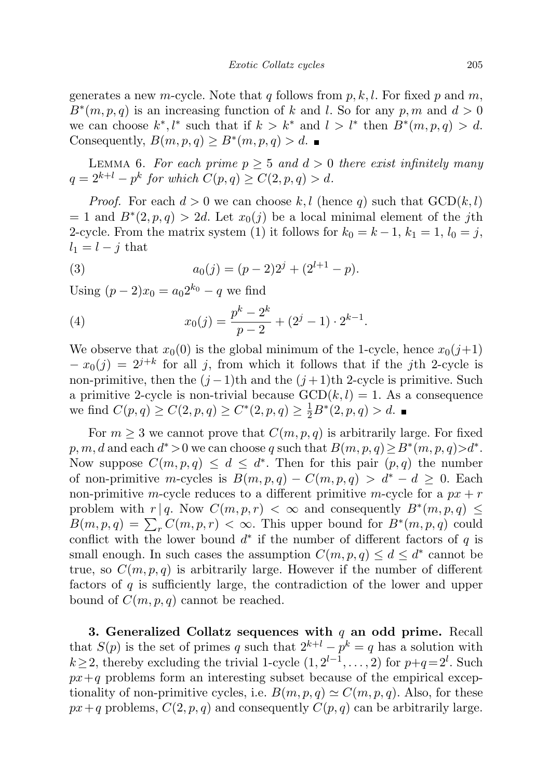generates a new m-cycle. Note that q follows from  $p, k, l$ . For fixed p and m,  $B^*(m, p, q)$  is an increasing function of k and l. So for any p, m and  $d > 0$ we can choose  $k^*, l^*$  such that if  $k > k^*$  and  $l > l^*$  then  $B^*(m, p, q) > d$ . Consequently,  $B(m, p, q) \ge B^*(m, p, q) > d$ .

LEMMA 6. For each prime  $p \geq 5$  and  $d > 0$  there exist infinitely many  $q = 2^{k+l} - p^k$  for which  $C(p, q) \geq C(2, p, q) > d$ .

*Proof.* For each  $d > 0$  we can choose k, l (hence q) such that  $GCD(k, l)$  $= 1$  and  $B^*(2, p, q) > 2d$ . Let  $x_0(j)$  be a local minimal element of the jth 2-cycle. From the matrix system (1) it follows for  $k_0 = k - 1$ ,  $k_1 = 1$ ,  $l_0 = j$ ,  $l_1 = l - j$  that

(3) 
$$
a_0(j) = (p-2)2^j + (2^{l+1} - p).
$$

Using  $(p-2)x_0 = a_0 2^{k_0} - q$  we find

(4) 
$$
x_0(j) = \frac{p^k - 2^k}{p - 2} + (2^j - 1) \cdot 2^{k-1}.
$$

We observe that  $x_0(0)$  is the global minimum of the 1-cycle, hence  $x_0(j+1)$  $-x_0(j) = 2^{j+k}$  for all j, from which it follows that if the jth 2-cycle is non-primitive, then the  $(j-1)$ th and the  $(j+1)$ th 2-cycle is primitive. Such a primitive 2-cycle is non-trivial because  $GCD(k, l) = 1$ . As a consequence we find  $C(p,q) \ge C(2, p, q) \ge C^*(2, p, q) \ge \frac{1}{2}B^*(2, p, q) > d$ .

For  $m \geq 3$  we cannot prove that  $C(m, p, q)$  is arbitrarily large. For fixed  $p, m, d$  and each  $d^* > 0$  we can choose q such that  $B(m, p, q) \ge B^*(m, p, q) > d^*$ . Now suppose  $C(m, p, q) \leq d \leq d^*$ . Then for this pair  $(p, q)$  the number of non-primitive m-cycles is  $B(m, p, q) - C(m, p, q) > d^* - d \geq 0$ . Each non-primitive m-cycle reduces to a different primitive m-cycle for a  $px + r$ problem with  $r | q$ . Now  $C(m, p, r) < \infty$  and consequently  $B^*(m, p, q) \leq$  $B(m, p, q) = \sum_{r} C(m, p, r) < \infty$ . This upper bound for  $B^*(m, p, q)$  could conflict with the lower bound  $d^*$  if the number of different factors of q is small enough. In such cases the assumption  $C(m, p, q) \leq d \leq d^*$  cannot be true, so  $C(m, p, q)$  is arbitrarily large. However if the number of different factors of  $q$  is sufficiently large, the contradiction of the lower and upper bound of  $C(m, p, q)$  cannot be reached.

3. Generalized Collatz sequences with  $q$  an odd prime. Recall that  $S(p)$  is the set of primes q such that  $2^{k+l} - p^k = q$  has a solution with  $k \geq 2$ , thereby excluding the trivial 1-cycle  $(1, 2^{l-1}, \ldots, 2)$  for  $p+q=2^l$ . Such  $px+q$  problems form an interesting subset because of the empirical exceptionality of non-primitive cycles, i.e.  $B(m, p, q) \simeq C(m, p, q)$ . Also, for these  $px+q$  problems,  $C(2, p, q)$  and consequently  $C(p, q)$  can be arbitrarily large.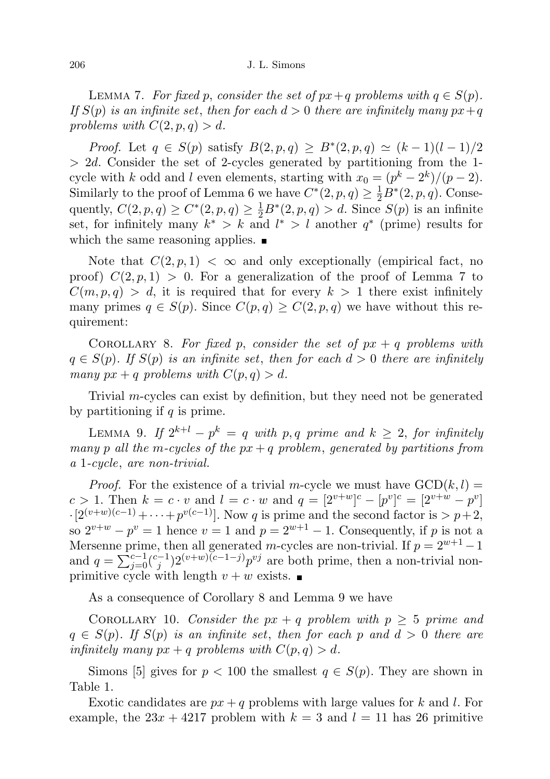LEMMA 7. For fixed p, consider the set of  $px+q$  problems with  $q \in S(p)$ . If  $S(p)$  is an infinite set, then for each  $d > 0$  there are infinitely many  $px+q$ problems with  $C(2, p, q) > d$ .

*Proof.* Let  $q \in S(p)$  satisfy  $B(2, p, q) \ge B^*(2, p, q) \simeq (k-1)(l-1)/2$  $> 2d$ . Consider the set of 2-cycles generated by partitioning from the 1cycle with k odd and l even elements, starting with  $x_0 = (p^k - 2^k)/(p - 2)$ . Similarly to the proof of Lemma 6 we have  $C^*(2, p, q) \geq \frac{1}{2}B^*(2, p, q)$ . Consequently,  $C(2, p, q) \ge C^*(2, p, q) \ge \frac{1}{2}B^*(2, p, q) > d$ . Since  $S(p)$  is an infinite set, for infinitely many  $k^* > k$  and  $l^* > l$  another  $q^*$  (prime) results for which the same reasoning applies.  $\blacksquare$ 

Note that  $C(2, p, 1) < \infty$  and only exceptionally (empirical fact, no proof)  $C(2, p, 1) > 0$ . For a generalization of the proof of Lemma 7 to  $C(m, p, q) > d$ , it is required that for every  $k > 1$  there exist infinitely many primes  $q \in S(p)$ . Since  $C(p,q) \geq C(2,p,q)$  we have without this requirement:

COROLLARY 8. For fixed p, consider the set of  $px + q$  problems with  $q \in S(p)$ . If  $S(p)$  is an infinite set, then for each  $d > 0$  there are infinitely many  $px + q$  problems with  $C(p, q) > d$ .

Trivial m-cycles can exist by definition, but they need not be generated by partitioning if  $q$  is prime.

LEMMA 9. If  $2^{k+l} - p^k = q$  with p, q prime and  $k \geq 2$ , for infinitely many p all the m-cycles of the  $px + q$  problem, generated by partitions from a 1-cycle, are non-trivial.

*Proof.* For the existence of a trivial m-cycle we must have  $GCD(k, l) =$ c > 1. Then  $k = c \cdot v$  and  $l = c \cdot w$  and  $q = [2^{v+w}]^c - [p^v]^{c} = [2^{v+w} - p^v]$  $\cdot [2^{(v+w)(c-1)} + \cdots + p^{v(c-1)}]$ . Now q is prime and the second factor is  $> p+2$ , so  $2^{v+w} - p^v = 1$  hence  $v = 1$  and  $p = 2^{w+1} - 1$ . Consequently, if p is not a Mersenne prime, then all generated m-cycles are non-trivial. If  $p = 2^{w+1} - 1$ and  $q = \sum_{j=0}^{c-1} {c-1 \choose j} 2^{(v+w)(c-1-j)} p^{vj}$  are both prime, then a non-trivial nonprimitive cycle with length  $v + w$  exists.

As a consequence of Corollary 8 and Lemma 9 we have

COROLLARY 10. Consider the  $px + q$  problem with  $p \geq 5$  prime and  $q \in S(p)$ . If  $S(p)$  is an infinite set, then for each p and  $d > 0$  there are infinitely many  $px + q$  problems with  $C(p, q) > d$ .

Simons [5] gives for  $p < 100$  the smallest  $q \in S(p)$ . They are shown in Table 1.

Exotic candidates are  $px + q$  problems with large values for k and l. For example, the  $23x + 4217$  problem with  $k = 3$  and  $l = 11$  has 26 primitive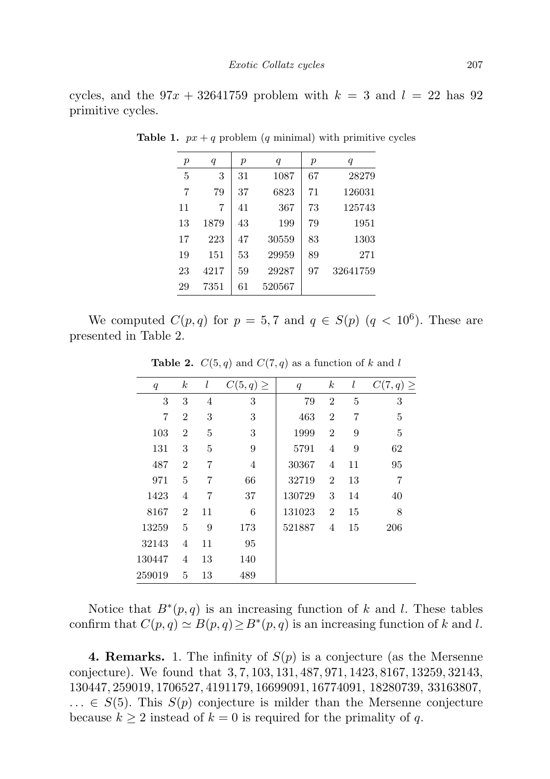cycles, and the  $97x + 32641759$  problem with  $k = 3$  and  $l = 22$  has 92 primitive cycles.

| $\boldsymbol{p}$ | q    | $\boldsymbol{p}$ | q      | $\boldsymbol{p}$ | $\boldsymbol{q}$ |
|------------------|------|------------------|--------|------------------|------------------|
| 5                | 3    | 31               | 1087   | 67               | 28279            |
| 7                | 79   | 37               | 6823   | 71               | 126031           |
| 11               | 7    | 41               | 367    | 73               | 125743           |
| 13               | 1879 | 43               | 199    | 79               | 1951             |
| 17               | 223  | 47               | 30559  | 83               | 1303             |
| 19               | 151  | 53               | 29959  | 89               | 271              |
| 23               | 4217 | 59               | 29287  | 97               | 32641759         |
| 29               | 7351 | 61               | 520567 |                  |                  |

**Table 1.**  $px + q$  problem (q minimal) with primitive cycles

We computed  $C(p,q)$  for  $p=5,7$  and  $q \in S(p)$   $(q < 10^6)$ . These are presented in Table 2.

| q              | $_{k}$         | l  | $C(5,q) \geq$ | q      | $\boldsymbol{k}$ | l              | $C(7,q) \geq$ |
|----------------|----------------|----|---------------|--------|------------------|----------------|---------------|
| 3              | 3              | 4  | 3             | 79     | $\overline{2}$   | 5              | 3             |
| $\overline{7}$ | $\overline{2}$ | 3  | 3             | 463    | $\overline{2}$   | $\overline{7}$ | 5             |
| 103            | $\overline{2}$ | 5  | 3             | 1999   | $\overline{2}$   | 9              | 5             |
| 131            | 3              | 5  | 9             | 5791   | 4                | 9              | 62            |
| 487            | $\overline{2}$ | 7  | 4             | 30367  | 4                | 11             | 95            |
| 971            | 5              | 7  | 66            | 32719  | $\overline{2}$   | 13             | 7             |
| 1423           | 4              | 7  | 37            | 130729 | 3                | 14             | 40            |
| 8167           | $\overline{2}$ | 11 | 6             | 131023 | $\overline{2}$   | 15             | 8             |
| 13259          | 5              | 9  | 173           | 521887 | 4                | 15             | 206           |
| 32143          | $\overline{4}$ | 11 | 95            |        |                  |                |               |
| 130447         | 4              | 13 | 140           |        |                  |                |               |
| 259019         | 5              | 13 | 489           |        |                  |                |               |

**Table 2.**  $C(5, q)$  and  $C(7, q)$  as a function of k and l

Notice that  $B^*(p,q)$  is an increasing function of k and l. These tables confirm that  $C(p, q) \simeq B(p, q) \geq B^*(p, q)$  is an increasing function of k and l.

**4. Remarks.** 1. The infinity of  $S(p)$  is a conjecture (as the Mersenne conjecture). We found that 3, 7, 103, 131, 487, 971, 1423, 8167, 13259, 32143, 130447, 259019, 1706527, 4191179, 16699091, 16774091, 18280739, 33163807,  $\ldots \in S(5)$ . This  $S(p)$  conjecture is milder than the Mersenne conjecture because  $k \geq 2$  instead of  $k = 0$  is required for the primality of q.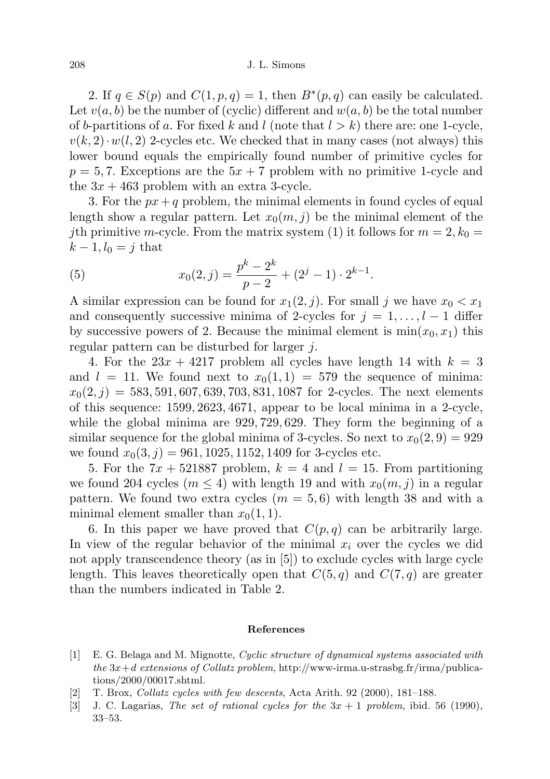## 208 J. L. Simons

2. If  $q \in S(p)$  and  $C(1, p, q) = 1$ , then  $B^*(p, q)$  can easily be calculated. Let  $v(a, b)$  be the number of (cyclic) different and  $w(a, b)$  be the total number of b-partitions of a. For fixed k and l (note that  $l > k$ ) there are: one 1-cycle,  $v(k, 2) \cdot w(l, 2)$  2-cycles etc. We checked that in many cases (not always) this lower bound equals the empirically found number of primitive cycles for  $p = 5, 7$ . Exceptions are the  $5x + 7$  problem with no primitive 1-cycle and the  $3x + 463$  problem with an extra 3-cycle.

3. For the  $px+q$  problem, the minimal elements in found cycles of equal length show a regular pattern. Let  $x_0(m, j)$  be the minimal element of the jth primitive m-cycle. From the matrix system (1) it follows for  $m = 2, k_0 =$  $k-1, l_0 = j$  that

(5) 
$$
x_0(2,j) = \frac{p^k - 2^k}{p - 2} + (2^j - 1) \cdot 2^{k-1}.
$$

A similar expression can be found for  $x_1(2, j)$ . For small j we have  $x_0 < x_1$ and consequently successive minima of 2-cycles for  $j = 1, \ldots, l - 1$  differ by successive powers of 2. Because the minimal element is  $\min(x_0, x_1)$  this regular pattern can be disturbed for larger j.

4. For the  $23x + 4217$  problem all cycles have length 14 with  $k = 3$ and  $l = 11$ . We found next to  $x_0(1, 1) = 579$  the sequence of minima:  $x_0(2, j) = 583, 591, 607, 639, 703, 831, 1087$  for 2-cycles. The next elements of this sequence: 1599, 2623, 4671, appear to be local minima in a 2-cycle, while the global minima are 929, 729, 629. They form the beginning of a similar sequence for the global minima of 3-cycles. So next to  $x_0(2, 9) = 929$ we found  $x_0(3, j) = 961, 1025, 1152, 1409$  for 3-cycles etc.

5. For the  $7x + 521887$  problem,  $k = 4$  and  $l = 15$ . From partitioning we found 204 cycles  $(m \leq 4)$  with length 19 and with  $x_0(m, j)$  in a regular pattern. We found two extra cycles  $(m = 5, 6)$  with length 38 and with a minimal element smaller than  $x_0(1, 1)$ .

6. In this paper we have proved that  $C(p,q)$  can be arbitrarily large. In view of the regular behavior of the minimal  $x_i$  over the cycles we did not apply transcendence theory (as in [5]) to exclude cycles with large cycle length. This leaves theoretically open that  $C(5, q)$  and  $C(7, q)$  are greater than the numbers indicated in Table 2.

## References

- [1] E. G. Belaga and M. Mignotte, Cyclic structure of dynamical systems associated with the  $3x+d$  extensions of Collatz problem, http://www-irma.u-strasbg.fr/irma/publications/2000/00017.shtml.
- [2] T. Brox, Collatz cycles with few descents, Acta Arith. 92 (2000), 181–188.
- [3] J. C. Lagarias, The set of rational cycles for the  $3x + 1$  problem, ibid. 56 (1990), 33–53.